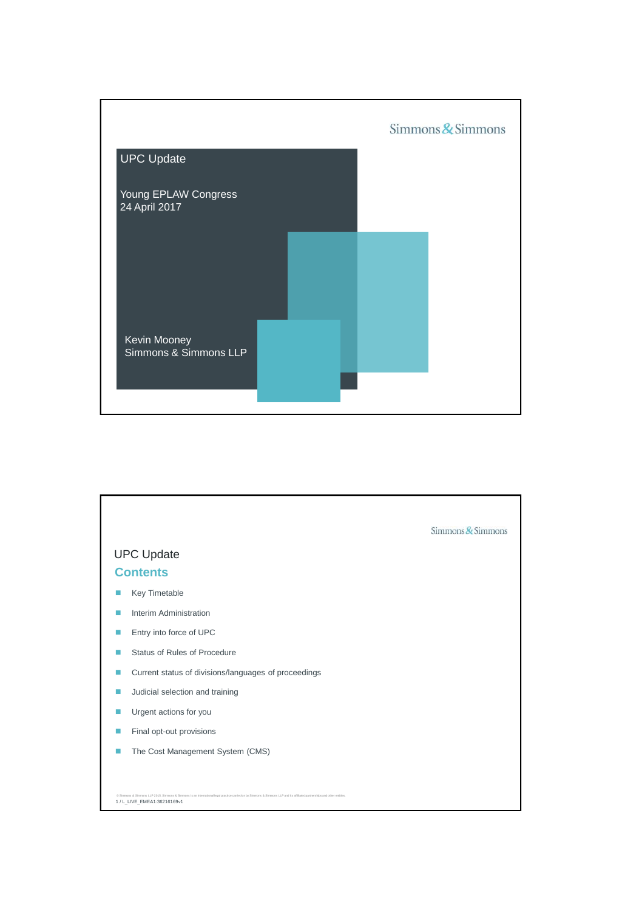

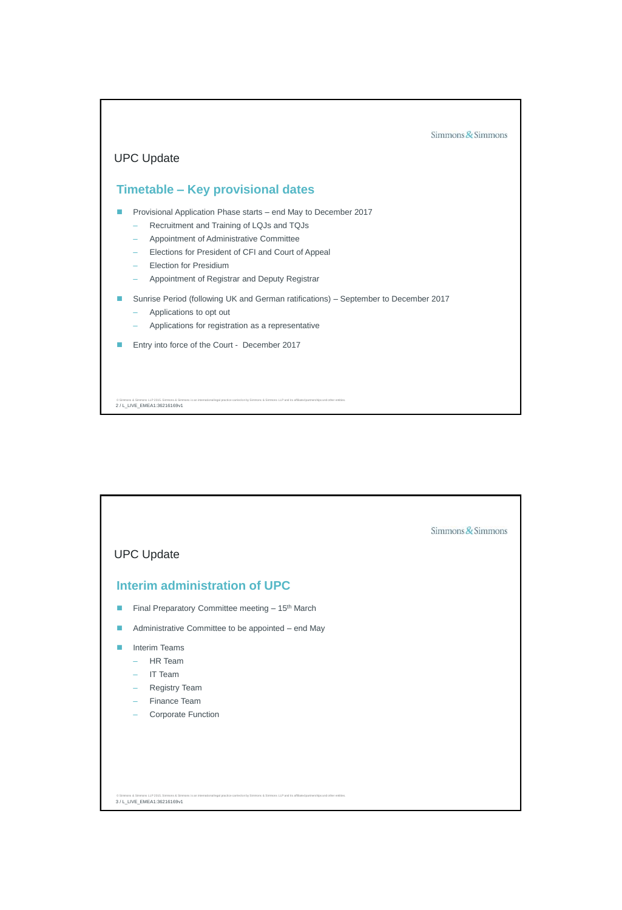

| <b>UPC Update</b>                                                                                                                                                                                        | Simmons $\&$ Simmons |
|----------------------------------------------------------------------------------------------------------------------------------------------------------------------------------------------------------|----------------------|
| <b>Interim administration of UPC</b>                                                                                                                                                                     |                      |
| Final Preparatory Committee meeting - 15 <sup>th</sup> March<br>ш                                                                                                                                        |                      |
| Administrative Committee to be appointed - end May                                                                                                                                                       |                      |
| <b>Interim Teams</b><br>m<br>HR Team<br>$\equiv$<br><b>IT Team</b><br>÷                                                                                                                                  |                      |
| Registry Team<br>$\overline{\phantom{m}}$<br>Finance Team<br>$\overline{\phantom{0}}$                                                                                                                    |                      |
| Corporate Function                                                                                                                                                                                       |                      |
|                                                                                                                                                                                                          |                      |
| @ Simmons & Simmons LLP 2015. Simmons & Simmons is an international legal practice carried on by Simmons & Simmons LLP and its affiliated partnerships and other entities<br>3 / L_LIVE_EMEA1:36216169v1 |                      |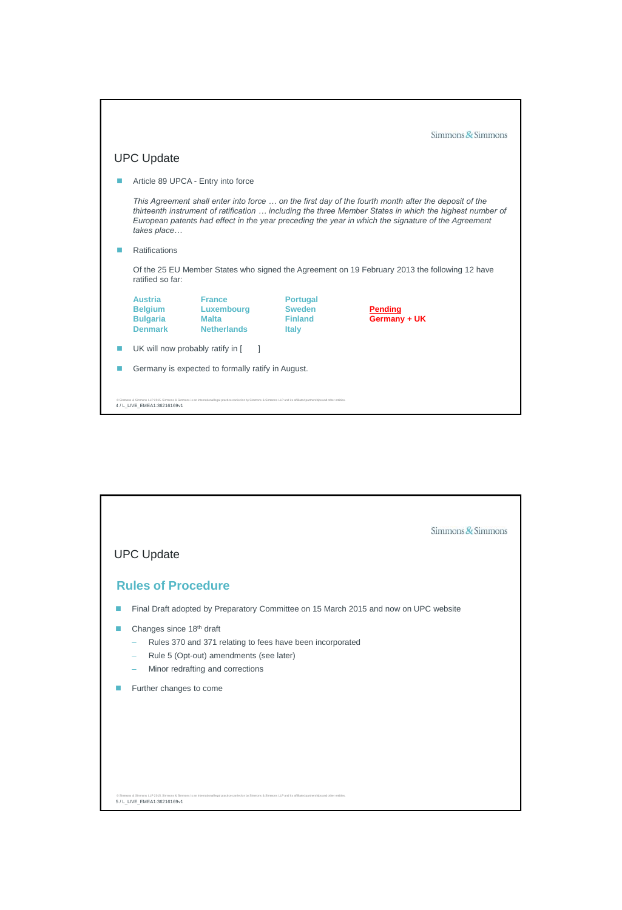|                                                                       |                                                                                                                                                                                                                                                                                                                       |                                                                    | $Simmons$ & Simmons            |  |  |
|-----------------------------------------------------------------------|-----------------------------------------------------------------------------------------------------------------------------------------------------------------------------------------------------------------------------------------------------------------------------------------------------------------------|--------------------------------------------------------------------|--------------------------------|--|--|
| UPC Update                                                            |                                                                                                                                                                                                                                                                                                                       |                                                                    |                                |  |  |
|                                                                       | Article 89 UPCA - Entry into force                                                                                                                                                                                                                                                                                    |                                                                    |                                |  |  |
| takes place                                                           | This Agreement shall enter into force  on the first day of the fourth month after the deposit of the<br>thirteenth instrument of ratification  including the three Member States in which the highest number of<br>European patents had effect in the year preceding the year in which the signature of the Agreement |                                                                    |                                |  |  |
| <b>Ratifications</b>                                                  |                                                                                                                                                                                                                                                                                                                       |                                                                    |                                |  |  |
| ratified so far:                                                      | Of the 25 EU Member States who signed the Agreement on 19 February 2013 the following 12 have                                                                                                                                                                                                                         |                                                                    |                                |  |  |
| <b>Austria</b><br><b>Belgium</b><br><b>Bulgaria</b><br><b>Denmark</b> | <b>France</b><br>Luxembourg<br><b>Malta</b><br><b>Netherlands</b>                                                                                                                                                                                                                                                     | <b>Portugal</b><br><b>Sweden</b><br><b>Finland</b><br><b>Italy</b> | <b>Pending</b><br>Germany + UK |  |  |
| UK will now probably ratify in [                                      |                                                                                                                                                                                                                                                                                                                       |                                                                    |                                |  |  |
|                                                                       | Germany is expected to formally ratify in August.                                                                                                                                                                                                                                                                     |                                                                    |                                |  |  |
| 4 / L_LIVE_EMEA1:36216169v1                                           | @ Simmons & Simmons LLP 2015. Simmons & Simmons is an international legal practice carried on by Simmons & Simmons LLP and its affiliated partnerships and other entities                                                                                                                                             |                                                                    |                                |  |  |

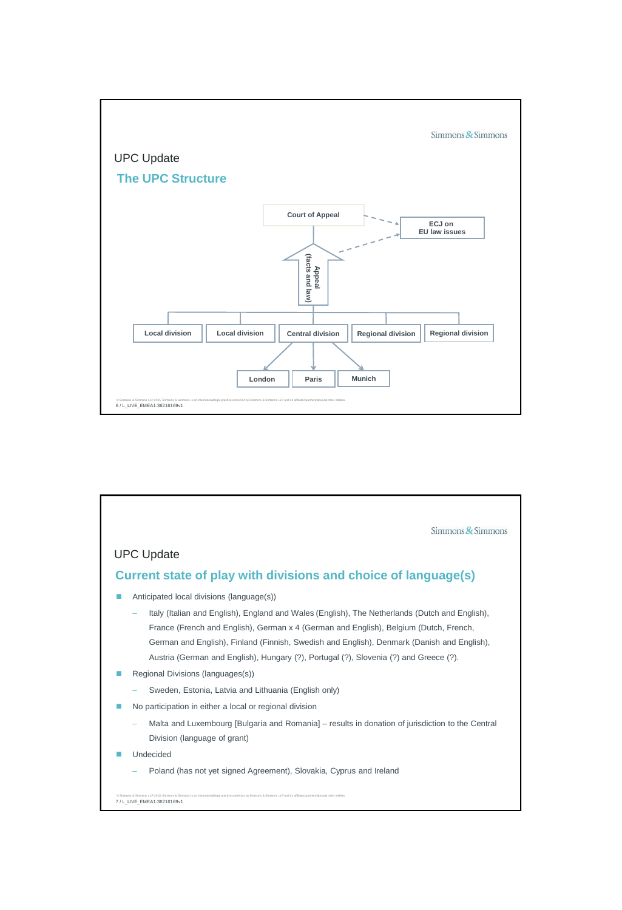

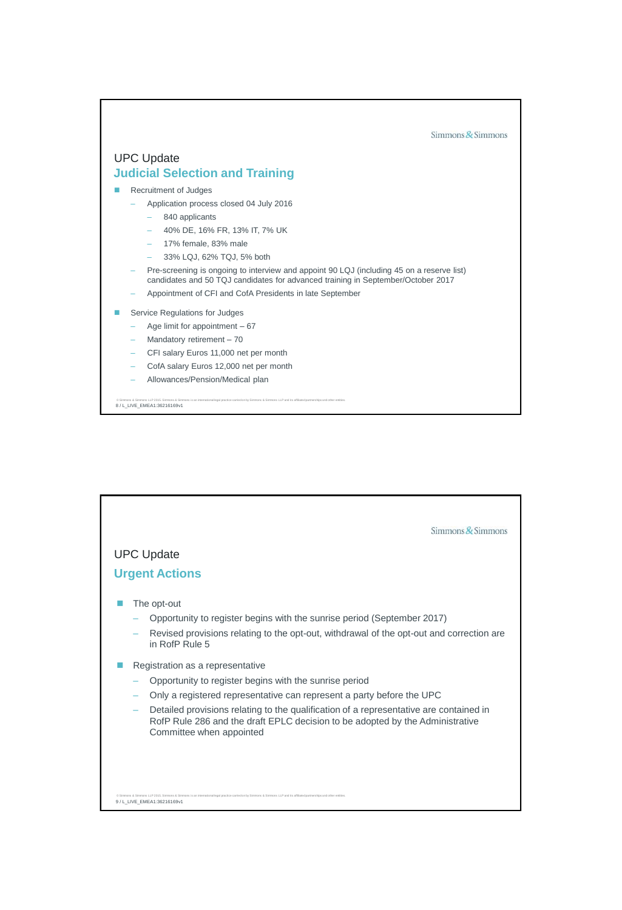

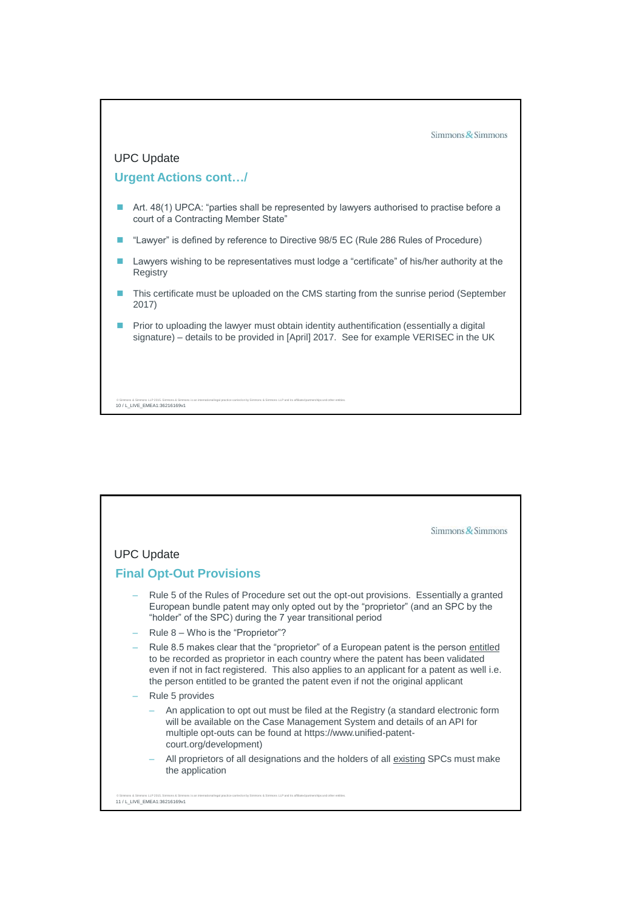

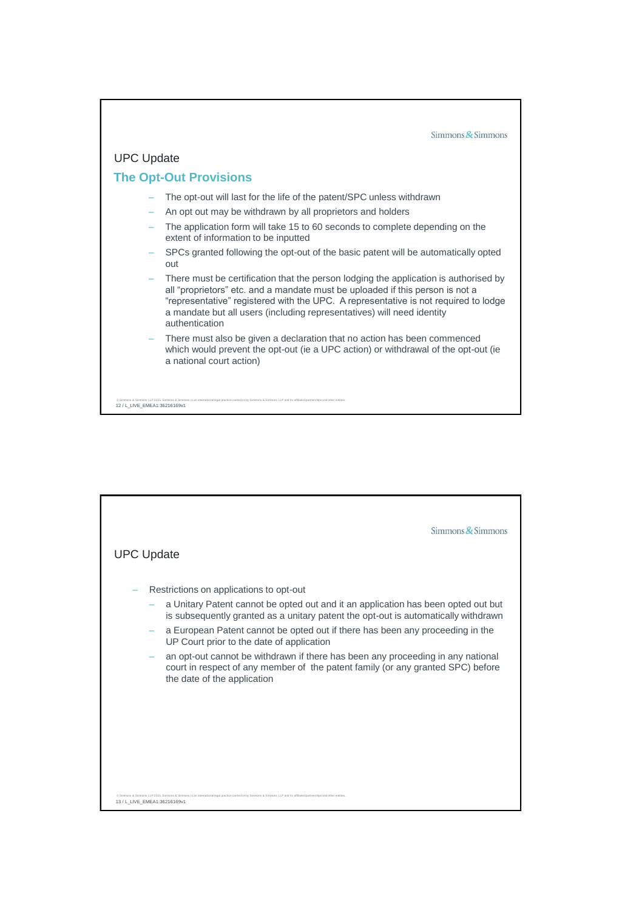

| $Simmons$ Simmons<br><b>UPC Update</b>                                                                                                                                                                    |
|-----------------------------------------------------------------------------------------------------------------------------------------------------------------------------------------------------------|
| Restrictions on applications to opt-out                                                                                                                                                                   |
| a Unitary Patent cannot be opted out and it an application has been opted out but<br>is subsequently granted as a unitary patent the opt-out is automatically withdrawn                                   |
| a European Patent cannot be opted out if there has been any proceeding in the<br>UP Court prior to the date of application                                                                                |
| an opt-out cannot be withdrawn if there has been any proceeding in any national<br>court in respect of any member of the patent family (or any granted SPC) before<br>the date of the application         |
|                                                                                                                                                                                                           |
|                                                                                                                                                                                                           |
|                                                                                                                                                                                                           |
|                                                                                                                                                                                                           |
| C Simmons & Simmons LLP 2015. Simmons & Simmons is an international legal practice carried on by Simmons & Simmons LLP and its affiliated partnerships and other entities<br>13 / L_LIVE_EMEA1:36216169v1 |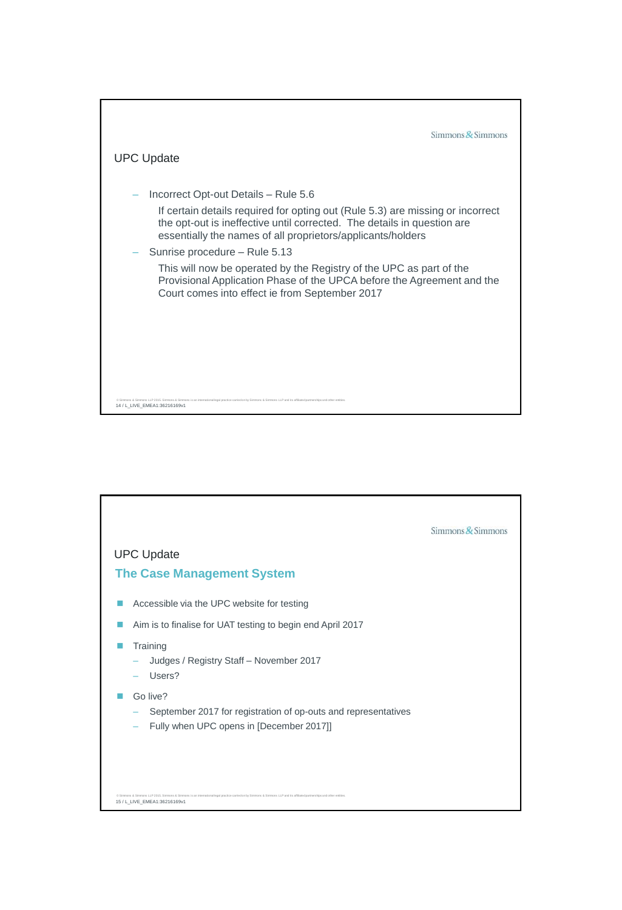